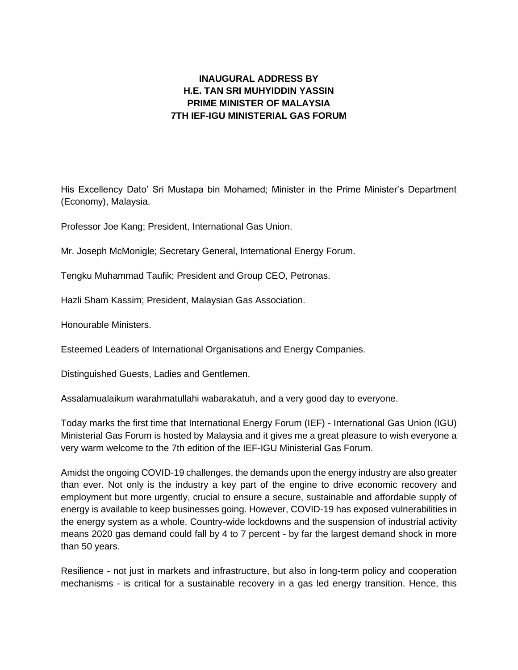## **INAUGURAL ADDRESS BY H.E. TAN SRI MUHYIDDIN YASSIN PRIME MINISTER OF MALAYSIA 7TH IEF-IGU MINISTERIAL GAS FORUM**

His Excellency Dato' Sri Mustapa bin Mohamed; Minister in the Prime Minister's Department (Economy), Malaysia.

Professor Joe Kang; President, International Gas Union.

Mr. Joseph McMonigle; Secretary General, International Energy Forum.

Tengku Muhammad Taufik; President and Group CEO, Petronas.

Hazli Sham Kassim; President, Malaysian Gas Association.

Honourable Ministers.

Esteemed Leaders of International Organisations and Energy Companies.

Distinguished Guests, Ladies and Gentlemen.

Assalamualaikum warahmatullahi wabarakatuh, and a very good day to everyone.

Today marks the first time that International Energy Forum (IEF) - International Gas Union (IGU) Ministerial Gas Forum is hosted by Malaysia and it gives me a great pleasure to wish everyone a very warm welcome to the 7th edition of the IEF-IGU Ministerial Gas Forum.

Amidst the ongoing COVID-19 challenges, the demands upon the energy industry are also greater than ever. Not only is the industry a key part of the engine to drive economic recovery and employment but more urgently, crucial to ensure a secure, sustainable and affordable supply of energy is available to keep businesses going. However, COVID-19 has exposed vulnerabilities in the energy system as a whole. Country-wide lockdowns and the suspension of industrial activity means 2020 gas demand could fall by 4 to 7 percent - by far the largest demand shock in more than 50 years.

Resilience - not just in markets and infrastructure, but also in long-term policy and cooperation mechanisms - is critical for a sustainable recovery in a gas led energy transition. Hence, this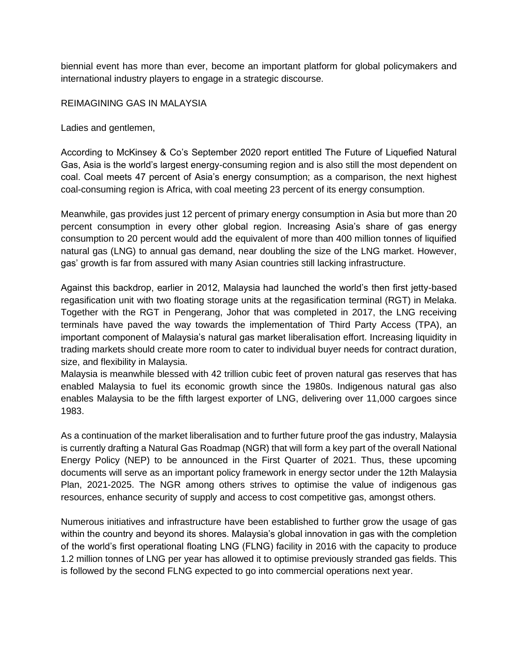biennial event has more than ever, become an important platform for global policymakers and international industry players to engage in a strategic discourse.

REIMAGINING GAS IN MALAYSIA

Ladies and gentlemen,

According to McKinsey & Co's September 2020 report entitled The Future of Liquefied Natural Gas, Asia is the world's largest energy-consuming region and is also still the most dependent on coal. Coal meets 47 percent of Asia's energy consumption; as a comparison, the next highest coal-consuming region is Africa, with coal meeting 23 percent of its energy consumption.

Meanwhile, gas provides just 12 percent of primary energy consumption in Asia but more than 20 percent consumption in every other global region. Increasing Asia's share of gas energy consumption to 20 percent would add the equivalent of more than 400 million tonnes of liquified natural gas (LNG) to annual gas demand, near doubling the size of the LNG market. However, gas' growth is far from assured with many Asian countries still lacking infrastructure.

Against this backdrop, earlier in 2012, Malaysia had launched the world's then first jetty-based regasification unit with two floating storage units at the regasification terminal (RGT) in Melaka. Together with the RGT in Pengerang, Johor that was completed in 2017, the LNG receiving terminals have paved the way towards the implementation of Third Party Access (TPA), an important component of Malaysia's natural gas market liberalisation effort. Increasing liquidity in trading markets should create more room to cater to individual buyer needs for contract duration, size, and flexibility in Malaysia.

Malaysia is meanwhile blessed with 42 trillion cubic feet of proven natural gas reserves that has enabled Malaysia to fuel its economic growth since the 1980s. Indigenous natural gas also enables Malaysia to be the fifth largest exporter of LNG, delivering over 11,000 cargoes since 1983.

As a continuation of the market liberalisation and to further future proof the gas industry, Malaysia is currently drafting a Natural Gas Roadmap (NGR) that will form a key part of the overall National Energy Policy (NEP) to be announced in the First Quarter of 2021. Thus, these upcoming documents will serve as an important policy framework in energy sector under the 12th Malaysia Plan, 2021-2025. The NGR among others strives to optimise the value of indigenous gas resources, enhance security of supply and access to cost competitive gas, amongst others.

Numerous initiatives and infrastructure have been established to further grow the usage of gas within the country and beyond its shores. Malaysia's global innovation in gas with the completion of the world's first operational floating LNG (FLNG) facility in 2016 with the capacity to produce 1.2 million tonnes of LNG per year has allowed it to optimise previously stranded gas fields. This is followed by the second FLNG expected to go into commercial operations next year.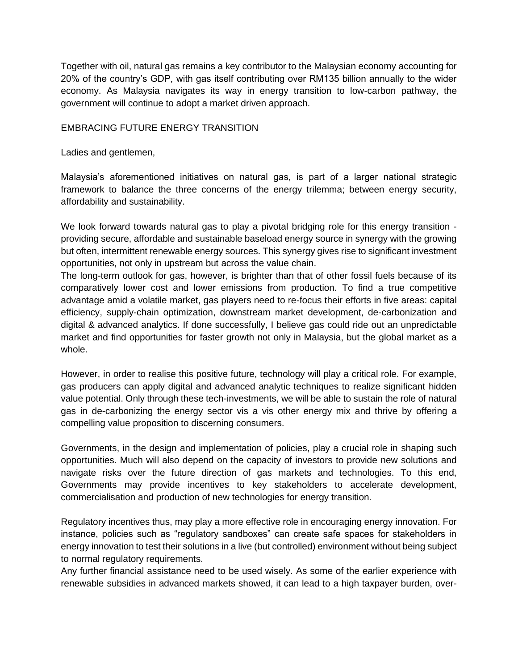Together with oil, natural gas remains a key contributor to the Malaysian economy accounting for 20% of the country's GDP, with gas itself contributing over RM135 billion annually to the wider economy. As Malaysia navigates its way in energy transition to low-carbon pathway, the government will continue to adopt a market driven approach.

## EMBRACING FUTURE ENERGY TRANSITION

Ladies and gentlemen,

Malaysia's aforementioned initiatives on natural gas, is part of a larger national strategic framework to balance the three concerns of the energy trilemma; between energy security, affordability and sustainability.

We look forward towards natural gas to play a pivotal bridging role for this energy transition providing secure, affordable and sustainable baseload energy source in synergy with the growing but often, intermittent renewable energy sources. This synergy gives rise to significant investment opportunities, not only in upstream but across the value chain.

The long-term outlook for gas, however, is brighter than that of other fossil fuels because of its comparatively lower cost and lower emissions from production. To find a true competitive advantage amid a volatile market, gas players need to re-focus their efforts in five areas: capital efficiency, supply-chain optimization, downstream market development, de-carbonization and digital & advanced analytics. If done successfully, I believe gas could ride out an unpredictable market and find opportunities for faster growth not only in Malaysia, but the global market as a whole.

However, in order to realise this positive future, technology will play a critical role. For example, gas producers can apply digital and advanced analytic techniques to realize significant hidden value potential. Only through these tech-investments, we will be able to sustain the role of natural gas in de-carbonizing the energy sector vis a vis other energy mix and thrive by offering a compelling value proposition to discerning consumers.

Governments, in the design and implementation of policies, play a crucial role in shaping such opportunities. Much will also depend on the capacity of investors to provide new solutions and navigate risks over the future direction of gas markets and technologies. To this end, Governments may provide incentives to key stakeholders to accelerate development, commercialisation and production of new technologies for energy transition.

Regulatory incentives thus, may play a more effective role in encouraging energy innovation. For instance, policies such as "regulatory sandboxes" can create safe spaces for stakeholders in energy innovation to test their solutions in a live (but controlled) environment without being subject to normal regulatory requirements.

Any further financial assistance need to be used wisely. As some of the earlier experience with renewable subsidies in advanced markets showed, it can lead to a high taxpayer burden, over